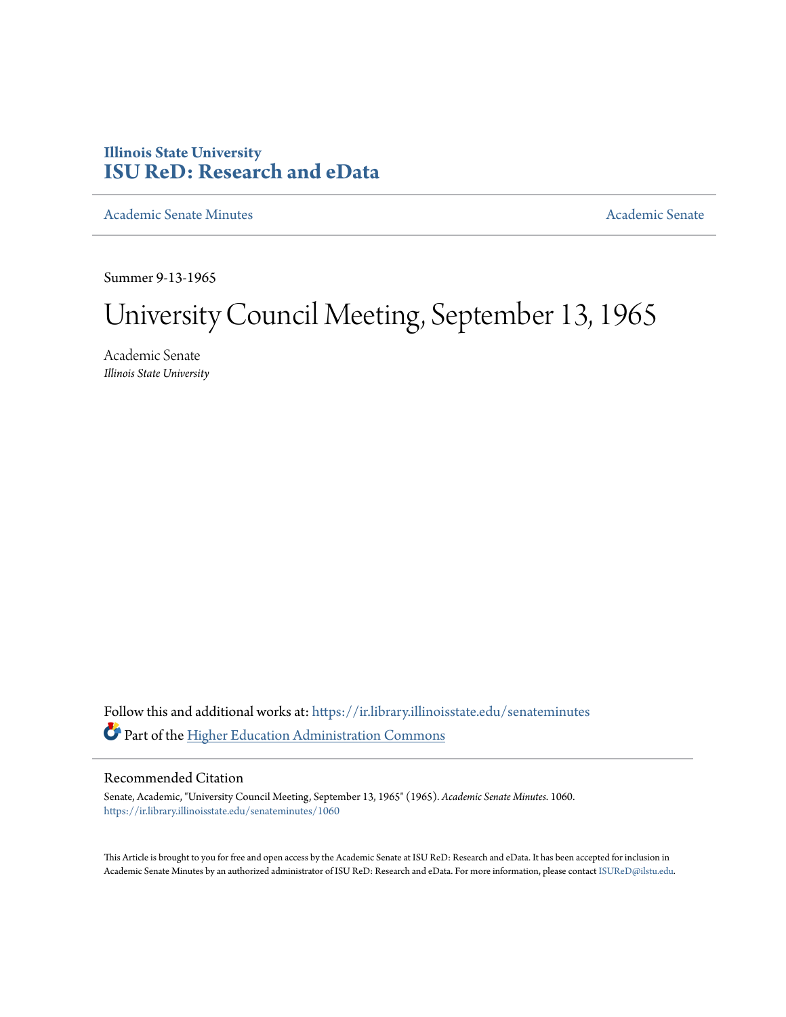## **Illinois State University [ISU ReD: Research and eData](https://ir.library.illinoisstate.edu?utm_source=ir.library.illinoisstate.edu%2Fsenateminutes%2F1060&utm_medium=PDF&utm_campaign=PDFCoverPages)**

[Academic Senate Minutes](https://ir.library.illinoisstate.edu/senateminutes?utm_source=ir.library.illinoisstate.edu%2Fsenateminutes%2F1060&utm_medium=PDF&utm_campaign=PDFCoverPages) [Academic Senate](https://ir.library.illinoisstate.edu/senate?utm_source=ir.library.illinoisstate.edu%2Fsenateminutes%2F1060&utm_medium=PDF&utm_campaign=PDFCoverPages) Academic Senate

Summer 9-13-1965

# University Council Meeting, September 13, 1965

Academic Senate *Illinois State University*

Follow this and additional works at: [https://ir.library.illinoisstate.edu/senateminutes](https://ir.library.illinoisstate.edu/senateminutes?utm_source=ir.library.illinoisstate.edu%2Fsenateminutes%2F1060&utm_medium=PDF&utm_campaign=PDFCoverPages) Part of the [Higher Education Administration Commons](http://network.bepress.com/hgg/discipline/791?utm_source=ir.library.illinoisstate.edu%2Fsenateminutes%2F1060&utm_medium=PDF&utm_campaign=PDFCoverPages)

### Recommended Citation

Senate, Academic, "University Council Meeting, September 13, 1965" (1965). *Academic Senate Minutes*. 1060. [https://ir.library.illinoisstate.edu/senateminutes/1060](https://ir.library.illinoisstate.edu/senateminutes/1060?utm_source=ir.library.illinoisstate.edu%2Fsenateminutes%2F1060&utm_medium=PDF&utm_campaign=PDFCoverPages)

This Article is brought to you for free and open access by the Academic Senate at ISU ReD: Research and eData. It has been accepted for inclusion in Academic Senate Minutes by an authorized administrator of ISU ReD: Research and eData. For more information, please contact [ISUReD@ilstu.edu.](mailto:ISUReD@ilstu.edu)